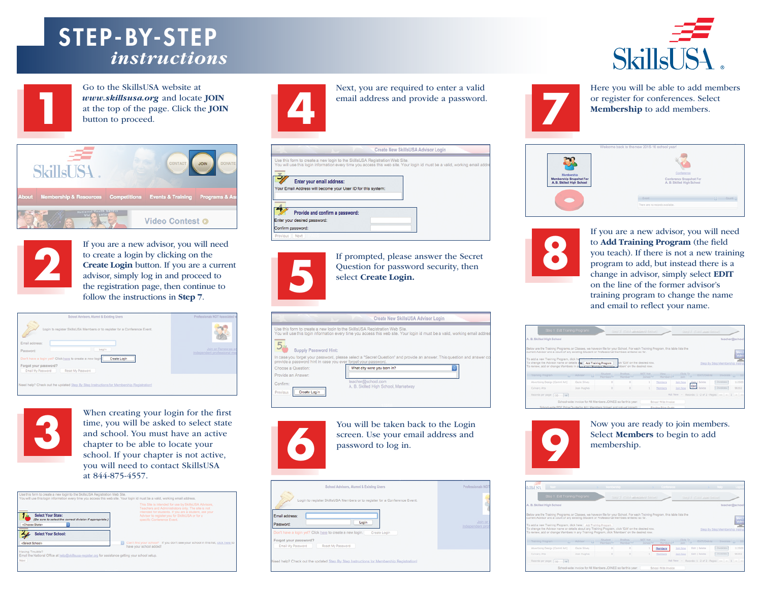## STEP-BY-STEP *instructions*



Go to the SkillsUSA website at *www.skillsusa.org* and locate **JOIN** at the top of the page. Click the **JOIN** button to proceed. **1 4 7**





If you are a new advisor, you will need to create a login by clicking on the **Create Login** button. If you are a current advisor, simply log in and proceed to the registration page, then continue to follow the instructions in **Step 7**.

| School Advisors, Alumni & Existing Users                                                | Professionals NOT Associated wi                   |
|-----------------------------------------------------------------------------------------|---------------------------------------------------|
| Login to register SkillsUSA Members or to register for a Conference Event.              |                                                   |
| Email address:                                                                          |                                                   |
| Login<br>Password:                                                                      | Join or Renew as a<br>independent professional me |
| Don't have a login yet? Click here to create a new login<br>Create Login                |                                                   |
| Forgot your password?                                                                   |                                                   |
| Email My Password<br>Reset My Password                                                  |                                                   |
|                                                                                         |                                                   |
| Need help? Check out the updated Step By Step Instructions for Membership Registration! |                                                   |



When creating your login for the first time, you will be asked to select state and school. You must have an active chapter to be able to locate your school. If your chapter is not active, you will need to contact SkillsUSA at 844-875-4557.

| (Be sure to select the correct division if appropriate.)<br><choose state=""><br/><b>Select Your School:</b></choose> | specific Conference Event.                                                                                  |
|-----------------------------------------------------------------------------------------------------------------------|-------------------------------------------------------------------------------------------------------------|
| «Select School»                                                                                                       | Can't find your school? If you don't see your school in this list, click here to<br>have your school added! |



Next, you are required to enter a valid email address and provide a password.

|                                                                             | Create New SkillsUSA Advisor Login                                                                                         |
|-----------------------------------------------------------------------------|----------------------------------------------------------------------------------------------------------------------------|
| Use this form to create a new login to the SkillsUSA Registration Web Site. | You will use this login information every time you access this web site. Your login id must be a valid, working email addi |
| Enter your email address:                                                   |                                                                                                                            |
| Your Email Address will become your User ID for this system:                |                                                                                                                            |
|                                                                             |                                                                                                                            |
|                                                                             |                                                                                                                            |
| Provide and confirm a password:                                             |                                                                                                                            |
| Enter your desired password:                                                |                                                                                                                            |
| Confirm password:                                                           |                                                                                                                            |



If prompted, please answer the Secret Question for password security, then select **Create Login.**

|                                                                                      | Create New SkillsUSA Advisor Login                                                                                                                                                                          |  |
|--------------------------------------------------------------------------------------|-------------------------------------------------------------------------------------------------------------------------------------------------------------------------------------------------------------|--|
|                                                                                      | Use this form to create a new login to the SkillsUSA Registration Web Site.<br>You will use this login information every time you access this web site. Your login id must be a valid, working email addres |  |
| 5<br><b>Supply Password Hint:</b>                                                    | In case you forget your password, please select a "Secret Question" and provide an answer. This question and answer co                                                                                      |  |
| provide a password hint in case you ever forget your password.<br>Choose a Question: | What city were you born in?<br>ö                                                                                                                                                                            |  |
| Provide an Answer:                                                                   |                                                                                                                                                                                                             |  |
| Confirm:<br>Create Login<br>Previous                                                 | teacher@school.com<br>A. B. Skilled High School, Marketway                                                                                                                                                  |  |



You will be taken back to the Login screen. Use your email address and password to log in.







Here you will be able to add members or register for conferences. Select **Membership** to add members.





If you are a new advisor, you will need to **Add Training Program** (the field you teach). If there is not a new training program to add, but instead there is a change in advisor, simply select **EDIT** on the line of the former advisor's training program to change the name and email to reflect your name.

|                                         | Below are the Training Programs, or Classes, we have on file for your School. For each Training Program, this table lists the<br>current Advisor and a count of any existing Student or Professional Members entered so far. |                               |                                               |                                       |                                |
|-----------------------------------------|------------------------------------------------------------------------------------------------------------------------------------------------------------------------------------------------------------------------------|-------------------------------|-----------------------------------------------|---------------------------------------|--------------------------------|
|                                         |                                                                                                                                                                                                                              |                               |                                               |                                       | Water<br>Mideo                 |
| To add a new Training Program, click he | To change the Advisor name or details are: Add Training Program<br>To review, add or change Mombers in a bout any Trainbon Dronnen . Thorn on the decired row.                                                               | ck 'Edit' on the desired row. |                                               |                                       | Step By Step Membership Instru |
|                                         |                                                                                                                                                                                                                              |                               |                                               |                                       |                                |
| Training Program                        | <b>Churchard</b><br><b>Profess</b><br>- a i<br><b>IRIN</b><br>Adviser<br>Members <sup>62</sup><br>Nomber <sup>42</sup>                                                                                                       | <b>NOT Yet </b><br>Joined M   | Miew.<br><b>Join</b><br>Hembers <sup>Ca</sup> | <b>Ock Trgs</b><br><b>EDIT/Delete</b> | Divolces (4 10 10              |
| Advertising Design (Commi Art)          | Cayle Silvey<br>a.<br>b.                                                                                                                                                                                                     | Monitors                      | <b>Join New</b>                               | <b>Call &amp; Delete</b>              | <b>Invoices</b><br>112503      |
| Culinary Arts                           | o<br>D.<br>Joan Hughes                                                                                                                                                                                                       | Members                       | Join Now                                      | Erit                                  | <b>Drugines</b><br>98302       |



Now you are ready to join members. Select **Members** to begin to add membership.

| <b>JalkUSA</b>           |                                                                                                                                                                                                                                                                                                                                                                                                                                                                                                       |                                                              | Membership<br>×                        |                                             |                             | S. Conference                        |                                   |                                                                   | Service Hotel                  | $\sim$         |
|--------------------------|-------------------------------------------------------------------------------------------------------------------------------------------------------------------------------------------------------------------------------------------------------------------------------------------------------------------------------------------------------------------------------------------------------------------------------------------------------------------------------------------------------|--------------------------------------------------------------|----------------------------------------|---------------------------------------------|-----------------------------|--------------------------------------|-----------------------------------|-------------------------------------------------------------------|--------------------------------|----------------|
|                          | Step 1. Edit Training Programs                                                                                                                                                                                                                                                                                                                                                                                                                                                                        |                                                              |                                        | Simply in this is a serious and the country |                             |                                      |                                   | Statistic Color Publishers                                        |                                |                |
|                          | A. B. Skilled High School                                                                                                                                                                                                                                                                                                                                                                                                                                                                             |                                                              |                                        |                                             |                             |                                      |                                   |                                                                   |                                | teacher@school |
|                          | Below are the Training Programs, or Classes, we have on file for your School. For each Training Program, this table lists the<br>current Advisor and a count of any existing Student or Professional Members entered so far.<br>To add a new Training Program, dick here: Add Training Program<br>To change the Advisor name or details about any Training Program, click 'Edit' on the desired row.<br>To review, add or change Members in any Training Program, click 'Members' on the desired row. |                                                              |                                        |                                             |                             |                                      |                                   |                                                                   | Step By Step Membership Instru |                |
| <b>Training Program:</b> |                                                                                                                                                                                                                                                                                                                                                                                                                                                                                                       | <b>B</b> Adviser <b>B</b>                                    | <b>Chudwee</b><br>Member <sub>10</sub> | <b>Draftsex</b><br>Nomber <sup>12</sup>     | <b>NOT Yet</b><br>Joined M. | <b>View</b><br>Hembers <sup>23</sup> | ok <sup>r</sup> g-<br><b>Join</b> | <b>COIT/Delete</b>                                                |                                | Divolces B 10  |
|                          | Advertising Design (Commi Art)                                                                                                                                                                                                                                                                                                                                                                                                                                                                        | Cayle Elvey                                                  | n.                                     | n.                                          |                             | Nembers                              | <b>Join New</b>                   | Edit   Dalata                                                     | <b>Invoices</b>                | 113503         |
| Culinary Arts            |                                                                                                                                                                                                                                                                                                                                                                                                                                                                                                       | Joan Hughes                                                  | o                                      | $\alpha$                                    |                             | Members                              | <b>Join Now</b>                   | Edit   Delete                                                     | <b>Invoces</b>                 | 98302          |
|                          | Records per page: [30                                                                                                                                                                                                                                                                                                                                                                                                                                                                                 |                                                              |                                        |                                             |                             |                                      |                                   | Add New - Records: 1 - 2 of 2 - Pages:   Inc.   - 8   2   20   21 |                                |                |
|                          |                                                                                                                                                                                                                                                                                                                                                                                                                                                                                                       | School-wide invoice for All Members JOINED so far this year. |                                        |                                             |                             | School-Wide Invoice                  |                                   |                                                                   |                                |                |